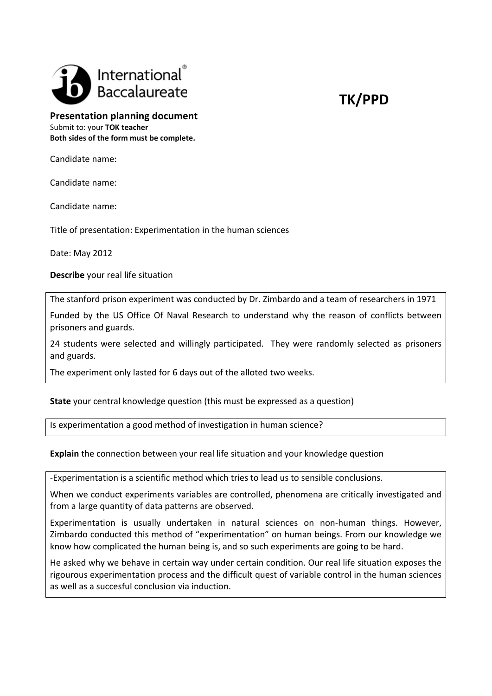

## **Presentation planning document** Submit to: your **TOK teacher**

**Both sides of the form must be complete.**

Candidate name:

Candidate name:

Candidate name:

Title of presentation: Experimentation in the human sciences

Date: May 2012

**Describe** your real life situation

The stanford prison experiment was conducted by Dr. Zimbardo and a team of researchers in 1971

Funded by the US Office Of Naval Research to understand why the reason of conflicts between prisoners and guards.

24 students were selected and willingly participated. They were randomly selected as prisoners and guards.

The experiment only lasted for 6 days out of the alloted two weeks.

## **State** your central knowledge question (this must be expressed as a question)

Is experimentation a good method of investigation in human science?

**Explain** the connection between your real life situation and your knowledge question

‐Experimentation is a scientific method which tries to lead us to sensible conclusions.

When we conduct experiments variables are controlled, phenomena are critically investigated and from a large quantity of data patterns are observed.

Experimentation is usually undertaken in natural sciences on non-human things. However, Zimbardo conducted this method of "experimentation" on human beings. From our knowledge we know how complicated the human being is, and so such experiments are going to be hard.

He asked why we behave in certain way under certain condition. Our real life situation exposes the rigourous experimentation process and the difficult quest of variable control in the human sciences as well as a succesful conclusion via induction.